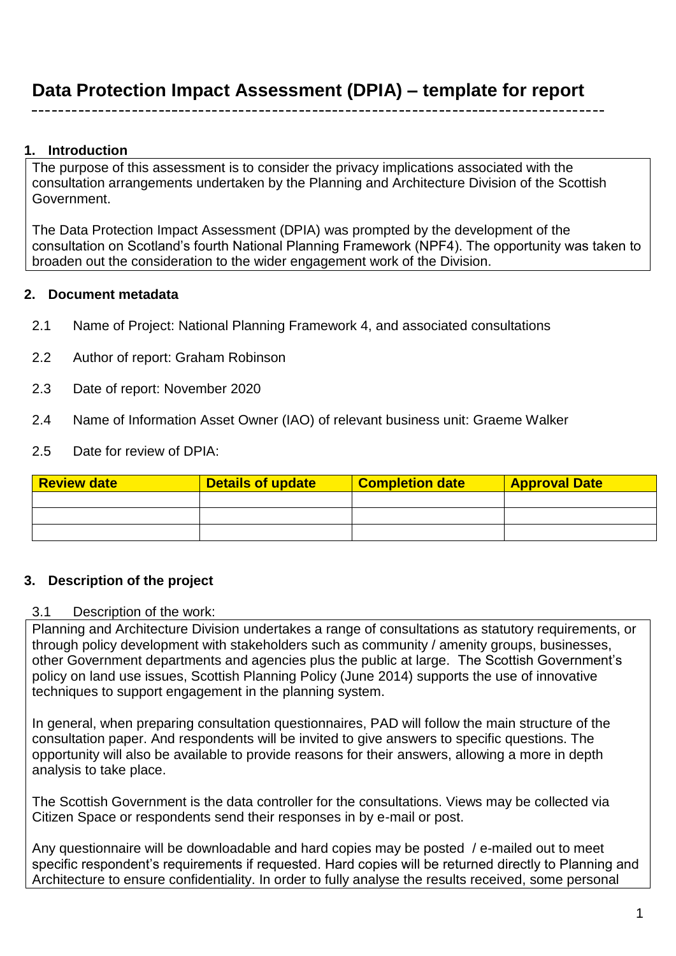### **1. Introduction**

The purpose of this assessment is to consider the privacy implications associated with the consultation arrangements undertaken by the Planning and Architecture Division of the Scottish Government.

The Data Protection Impact Assessment (DPIA) was prompted by the development of the consultation on Scotland's fourth National Planning Framework (NPF4). The opportunity was taken to broaden out the consideration to the wider engagement work of the Division.

### **2. Document metadata**

- 2.1 Name of Project: National Planning Framework 4, and associated consultations
- 2.2 Author of report: Graham Robinson
- 2.3 Date of report: November 2020
- 2.4 Name of Information Asset Owner (IAO) of relevant business unit: Graeme Walker
- 2.5 Date for review of DPIA:

| <b>Review date</b> | <b>Details of update</b> | <b>Completion date</b> | <b>Approval Date</b> |
|--------------------|--------------------------|------------------------|----------------------|
|                    |                          |                        |                      |
|                    |                          |                        |                      |
|                    |                          |                        |                      |

### **3. Description of the project**

#### 3.1 Description of the work:

Planning and Architecture Division undertakes a range of consultations as statutory requirements, or through policy development with stakeholders such as community / amenity groups, businesses, other Government departments and agencies plus the public at large. The Scottish Government's policy on land use issues, Scottish Planning Policy (June 2014) supports the use of innovative techniques to support engagement in the planning system.

In general, when preparing consultation questionnaires, PAD will follow the main structure of the consultation paper. And respondents will be invited to give answers to specific questions. The opportunity will also be available to provide reasons for their answers, allowing a more in depth analysis to take place.

The Scottish Government is the data controller for the consultations. Views may be collected via Citizen Space or respondents send their responses in by e-mail or post.

Any questionnaire will be downloadable and hard copies may be posted / e-mailed out to meet specific respondent's requirements if requested. Hard copies will be returned directly to Planning and Architecture to ensure confidentiality. In order to fully analyse the results received, some personal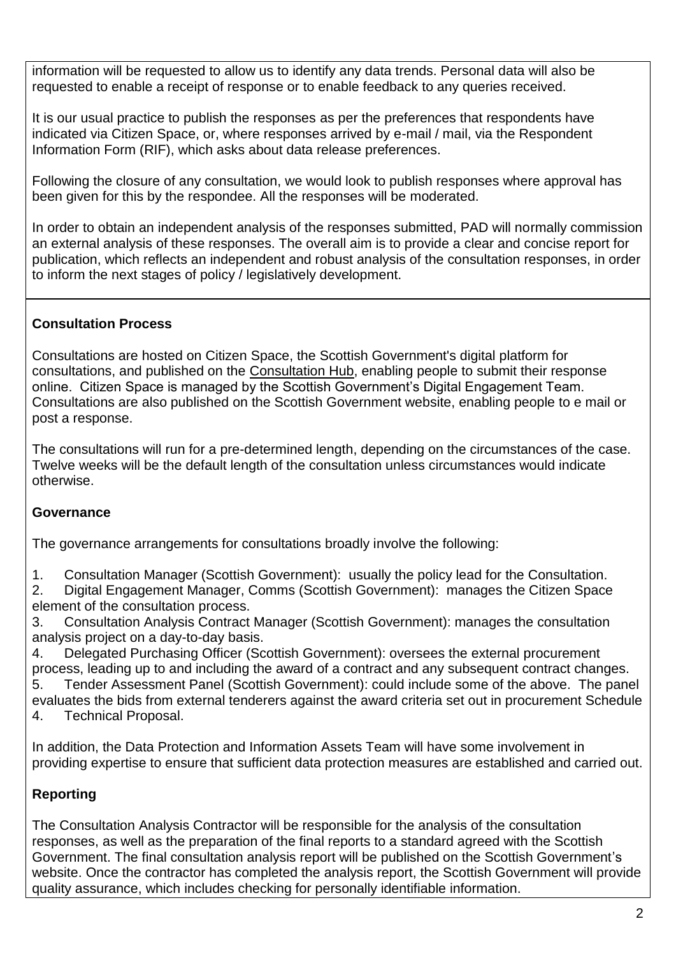information will be requested to allow us to identify any data trends. Personal data will also be requested to enable a receipt of response or to enable feedback to any queries received.

It is our usual practice to publish the responses as per the preferences that respondents have indicated via Citizen Space, or, where responses arrived by e-mail / mail, via the Respondent Information Form (RIF), which asks about data release preferences.

Following the closure of any consultation, we would look to publish responses where approval has been given for this by the respondee. All the responses will be moderated.

In order to obtain an independent analysis of the responses submitted, PAD will normally commission an external analysis of these responses. The overall aim is to provide a clear and concise report for publication, which reflects an independent and robust analysis of the consultation responses, in order to inform the next stages of policy / legislatively development.

### **Consultation Process**

Consultations are hosted on Citizen Space, the Scottish Government's digital platform for consultations, and published on the [Consultation Hub,](https://consult.gov.scot/) enabling people to submit their response online. Citizen Space is managed by the Scottish Government's Digital Engagement Team. Consultations are also published on the Scottish Government website, enabling people to e mail or post a response.

The consultations will run for a pre-determined length, depending on the circumstances of the case. Twelve weeks will be the default length of the consultation unless circumstances would indicate otherwise.

### **Governance**

The governance arrangements for consultations broadly involve the following:

1. Consultation Manager (Scottish Government): usually the policy lead for the Consultation.

2. Digital Engagement Manager, Comms (Scottish Government): manages the Citizen Space element of the consultation process.

3. Consultation Analysis Contract Manager (Scottish Government): manages the consultation analysis project on a day-to-day basis.

4. Delegated Purchasing Officer (Scottish Government): oversees the external procurement process, leading up to and including the award of a contract and any subsequent contract changes. 5. Tender Assessment Panel (Scottish Government): could include some of the above. The panel

evaluates the bids from external tenderers against the award criteria set out in procurement Schedule 4. Technical Proposal.

In addition, the Data Protection and Information Assets Team will have some involvement in

providing expertise to ensure that sufficient data protection measures are established and carried out.

### **Reporting**

The Consultation Analysis Contractor will be responsible for the analysis of the consultation responses, as well as the preparation of the final reports to a standard agreed with the Scottish Government. The final consultation analysis report will be published on the Scottish Government's website. Once the contractor has completed the analysis report, the Scottish Government will provide quality assurance, which includes checking for personally identifiable information.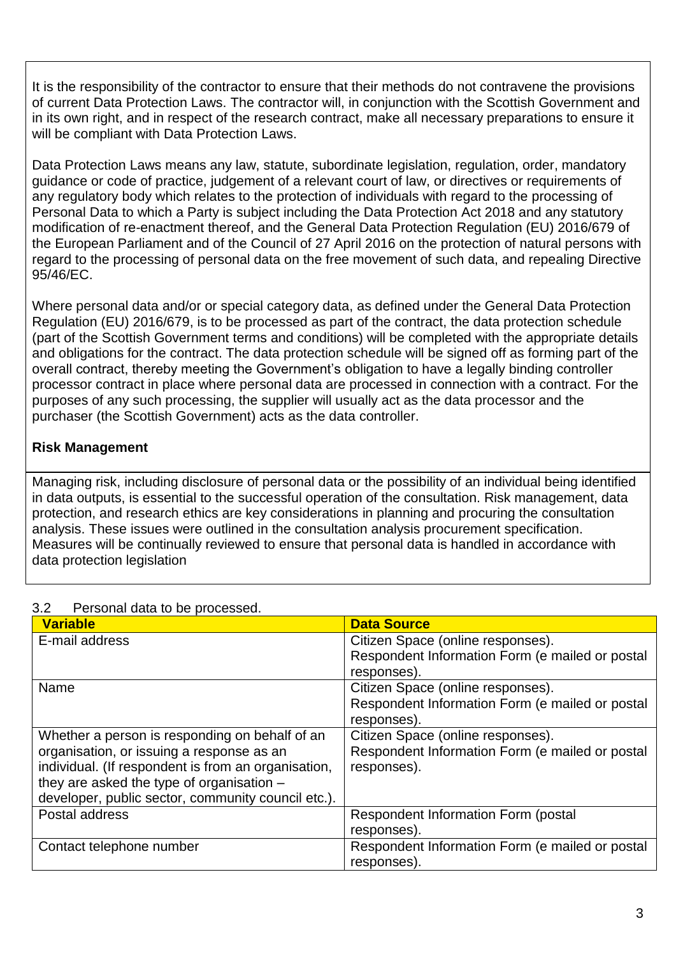It is the responsibility of the contractor to ensure that their methods do not contravene the provisions of current Data Protection Laws. The contractor will, in conjunction with the Scottish Government and in its own right, and in respect of the research contract, make all necessary preparations to ensure it will be compliant with Data Protection Laws.

Data Protection Laws means any law, statute, subordinate legislation, regulation, order, mandatory guidance or code of practice, judgement of a relevant court of law, or directives or requirements of any regulatory body which relates to the protection of individuals with regard to the processing of Personal Data to which a Party is subject including the Data Protection Act 2018 and any statutory modification of re-enactment thereof, and the General Data Protection Regulation (EU) 2016/679 of the European Parliament and of the Council of 27 April 2016 on the protection of natural persons with regard to the processing of personal data on the free movement of such data, and repealing Directive 95/46/EC.

Where personal data and/or or special category data, as defined under the General Data Protection Regulation (EU) 2016/679, is to be processed as part of the contract, the data protection schedule (part of the Scottish Government terms and conditions) will be completed with the appropriate details and obligations for the contract. The data protection schedule will be signed off as forming part of the overall contract, thereby meeting the Government's obligation to have a legally binding controller processor contract in place where personal data are processed in connection with a contract. For the purposes of any such processing, the supplier will usually act as the data processor and the purchaser (the Scottish Government) acts as the data controller.

### **Risk Management**

Managing risk, including disclosure of personal data or the possibility of an individual being identified in data outputs, is essential to the successful operation of the consultation. Risk management, data protection, and research ethics are key considerations in planning and procuring the consultation analysis. These issues were outlined in the consultation analysis procurement specification. Measures will be continually reviewed to ensure that personal data is handled in accordance with data protection legislation

| <b>Variable</b>                                     | <b>Data Source</b>                              |
|-----------------------------------------------------|-------------------------------------------------|
| E-mail address                                      | Citizen Space (online responses).               |
|                                                     | Respondent Information Form (e mailed or postal |
|                                                     |                                                 |
|                                                     | responses).                                     |
| Name                                                | Citizen Space (online responses).               |
|                                                     | Respondent Information Form (e mailed or postal |
|                                                     | responses).                                     |
| Whether a person is responding on behalf of an      | Citizen Space (online responses).               |
| organisation, or issuing a response as an           | Respondent Information Form (e mailed or postal |
| individual. (If respondent is from an organisation, | responses).                                     |
| they are asked the type of organisation -           |                                                 |
| developer, public sector, community council etc.).  |                                                 |
| Postal address                                      | <b>Respondent Information Form (postal)</b>     |
|                                                     | responses).                                     |
| Contact telephone number                            | Respondent Information Form (e mailed or postal |
|                                                     | responses).                                     |

#### 3.2 Personal data to be processed.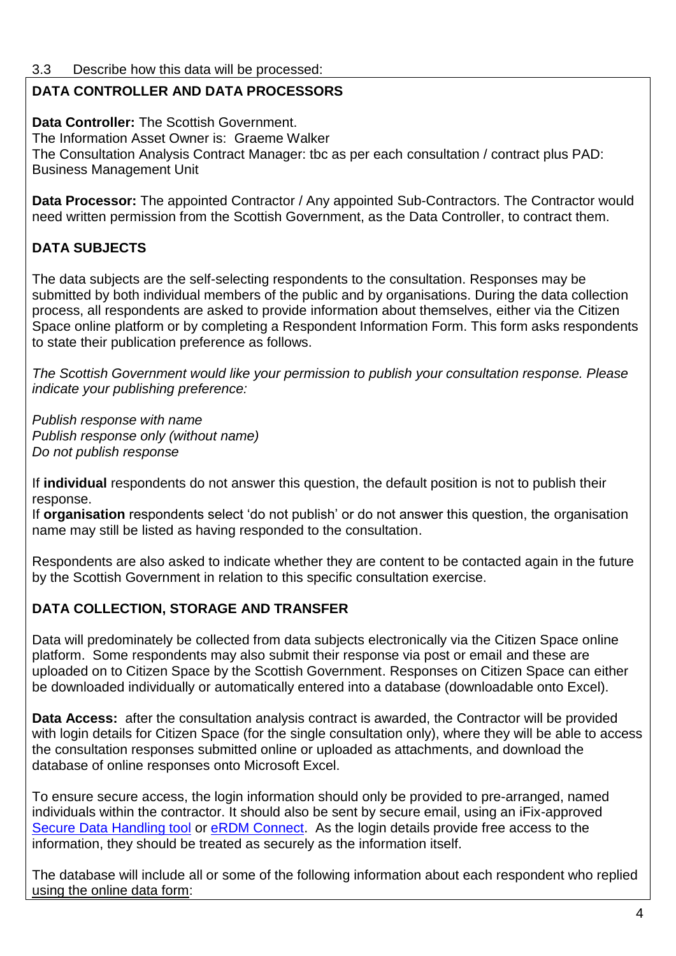### 3.3 Describe how this data will be processed:

# **DATA CONTROLLER AND DATA PROCESSORS**

**Data Controller:** The Scottish Government. The Information Asset Owner is: Graeme Walker The Consultation Analysis Contract Manager: tbc as per each consultation / contract plus PAD: Business Management Unit

**Data Processor:** The appointed Contractor / Any appointed Sub-Contractors. The Contractor would need written permission from the Scottish Government, as the Data Controller, to contract them.

# **DATA SUBJECTS**

The data subjects are the self-selecting respondents to the consultation. Responses may be submitted by both individual members of the public and by organisations. During the data collection process, all respondents are asked to provide information about themselves, either via the Citizen Space online platform or by completing a Respondent Information Form. This form asks respondents to state their publication preference as follows.

*The Scottish Government would like your permission to publish your consultation response. Please indicate your publishing preference:* 

*Publish response with name Publish response only (without name) Do not publish response*

If **individual** respondents do not answer this question, the default position is not to publish their response.

If **organisation** respondents select 'do not publish' or do not answer this question, the organisation name may still be listed as having responded to the consultation.

Respondents are also asked to indicate whether they are content to be contacted again in the future by the Scottish Government in relation to this specific consultation exercise.

# **DATA COLLECTION, STORAGE AND TRANSFER**

Data will predominately be collected from data subjects electronically via the Citizen Space online platform. Some respondents may also submit their response via post or email and these are uploaded on to Citizen Space by the Scottish Government. Responses on Citizen Space can either be downloaded individually or automatically entered into a database (downloadable onto Excel).

**Data Access:** after the consultation analysis contract is awarded, the Contractor will be provided with login details for Citizen Space (for the single consultation only), where they will be able to access the consultation responses submitted online or uploaded as attachments, and download the database of online responses onto Microsoft Excel.

To ensure secure access, the login information should only be provided to pre-arranged, named individuals within the contractor. It should also be sent by secure email, using an iFix-approved [Secure Data Handling tool](http://ifix:8080/assystnet/#services/98) or [eRDM Connect.](http://saltire/my-workplace/it-and-information-management/it-services/Pages/information_sharing_tools.aspx) As the login details provide free access to the information, they should be treated as securely as the information itself.

The database will include all or some of the following information about each respondent who replied using the online data form: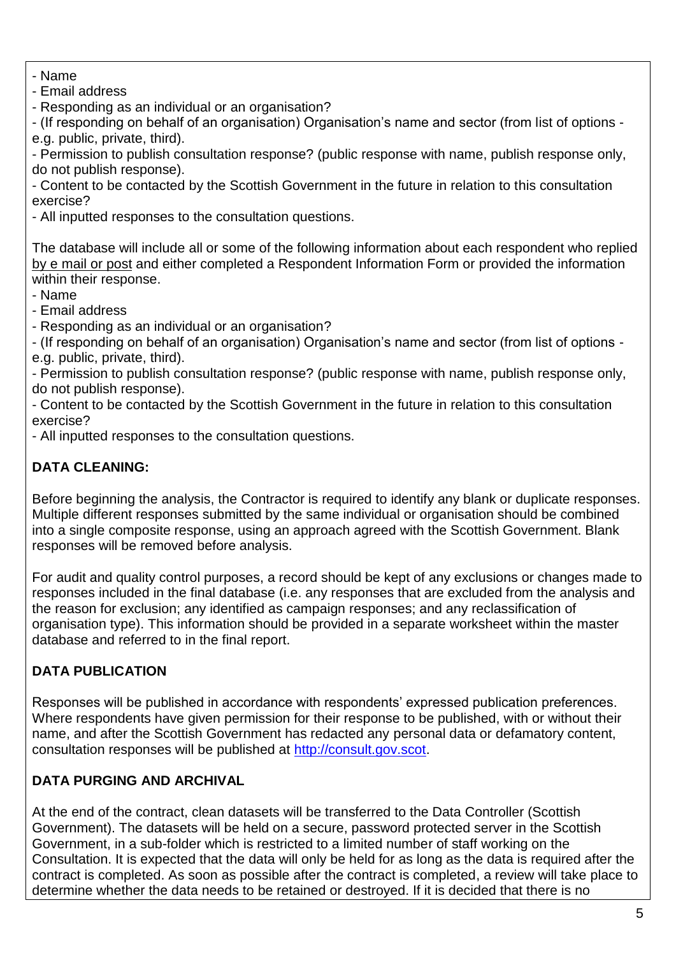- Name
- Email address

- Responding as an individual or an organisation?

- (If responding on behalf of an organisation) Organisation's name and sector (from list of options e.g. public, private, third).

- Permission to publish consultation response? (public response with name, publish response only, do not publish response).

- Content to be contacted by the Scottish Government in the future in relation to this consultation exercise?

- All inputted responses to the consultation questions.

The database will include all or some of the following information about each respondent who replied by e mail or post and either completed a Respondent Information Form or provided the information within their response.

- Name

- Email address

- Responding as an individual or an organisation?

- (If responding on behalf of an organisation) Organisation's name and sector (from list of options e.g. public, private, third).

- Permission to publish consultation response? (public response with name, publish response only, do not publish response).

- Content to be contacted by the Scottish Government in the future in relation to this consultation exercise?

- All inputted responses to the consultation questions.

## **DATA CLEANING:**

Before beginning the analysis, the Contractor is required to identify any blank or duplicate responses. Multiple different responses submitted by the same individual or organisation should be combined into a single composite response, using an approach agreed with the Scottish Government. Blank responses will be removed before analysis.

For audit and quality control purposes, a record should be kept of any exclusions or changes made to responses included in the final database (i.e. any responses that are excluded from the analysis and the reason for exclusion; any identified as campaign responses; and any reclassification of organisation type). This information should be provided in a separate worksheet within the master database and referred to in the final report.

# **DATA PUBLICATION**

Responses will be published in accordance with respondents' expressed publication preferences. Where respondents have given permission for their response to be published, with or without their name, and after the Scottish Government has redacted any personal data or defamatory content, consultation responses will be published at [http://consult.gov.scot.](http://consult.gov.scot/)

### **DATA PURGING AND ARCHIVAL**

At the end of the contract, clean datasets will be transferred to the Data Controller (Scottish Government). The datasets will be held on a secure, password protected server in the Scottish Government, in a sub-folder which is restricted to a limited number of staff working on the Consultation. It is expected that the data will only be held for as long as the data is required after the contract is completed. As soon as possible after the contract is completed, a review will take place to determine whether the data needs to be retained or destroyed. If it is decided that there is no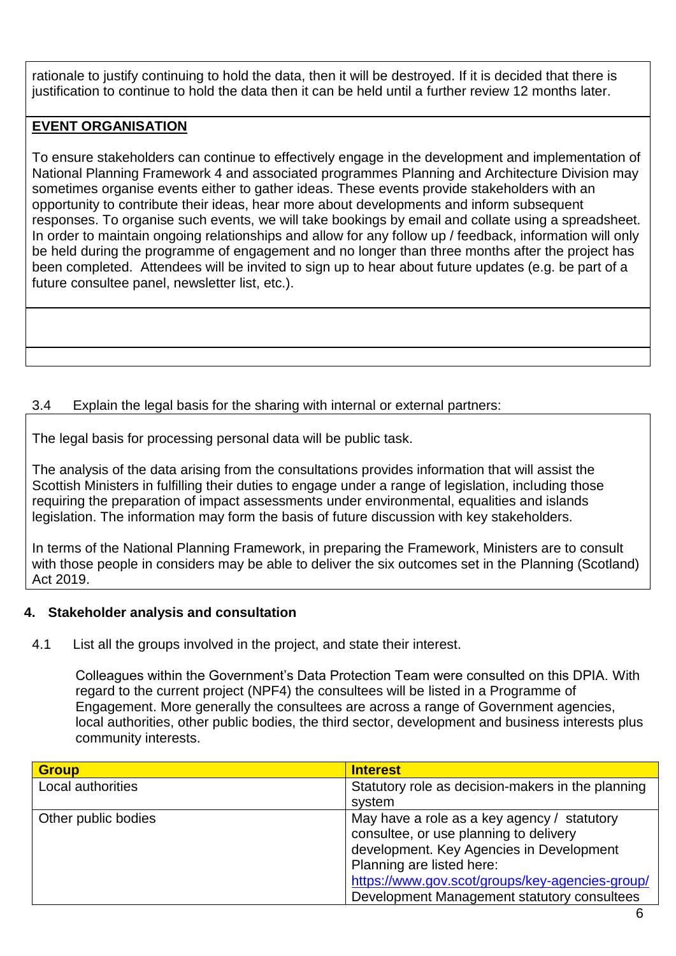rationale to justify continuing to hold the data, then it will be destroyed. If it is decided that there is justification to continue to hold the data then it can be held until a further review 12 months later.

### **EVENT ORGANISATION**

To ensure stakeholders can continue to effectively engage in the development and implementation of National Planning Framework 4 and associated programmes Planning and Architecture Division may sometimes organise events either to gather ideas. These events provide stakeholders with an opportunity to contribute their ideas, hear more about developments and inform subsequent responses. To organise such events, we will take bookings by email and collate using a spreadsheet. In order to maintain ongoing relationships and allow for any follow up / feedback, information will only be held during the programme of engagement and no longer than three months after the project has been completed. Attendees will be invited to sign up to hear about future updates (e.g. be part of a future consultee panel, newsletter list, etc.).

### 3.4 Explain the legal basis for the sharing with internal or external partners:

The legal basis for processing personal data will be public task.

The analysis of the data arising from the consultations provides information that will assist the Scottish Ministers in fulfilling their duties to engage under a range of legislation, including those requiring the preparation of impact assessments under environmental, equalities and islands legislation. The information may form the basis of future discussion with key stakeholders.

In terms of the National Planning Framework, in preparing the Framework, Ministers are to consult with those people in considers may be able to deliver the six outcomes set in the Planning (Scotland) Act 2019.

### **4. Stakeholder analysis and consultation**

4.1 List all the groups involved in the project, and state their interest.

Colleagues within the Government's Data Protection Team were consulted on this DPIA. With regard to the current project (NPF4) the consultees will be listed in a Programme of Engagement. More generally the consultees are across a range of Government agencies, local authorities, other public bodies, the third sector, development and business interests plus community interests.

| <b>Group</b>        | <b>Interest</b>                                   |
|---------------------|---------------------------------------------------|
| Local authorities   | Statutory role as decision-makers in the planning |
|                     | system                                            |
| Other public bodies | May have a role as a key agency / statutory       |
|                     | consultee, or use planning to delivery            |
|                     | development. Key Agencies in Development          |
|                     | Planning are listed here:                         |
|                     | https://www.gov.scot/groups/key-agencies-group/   |
|                     | Development Management statutory consultees       |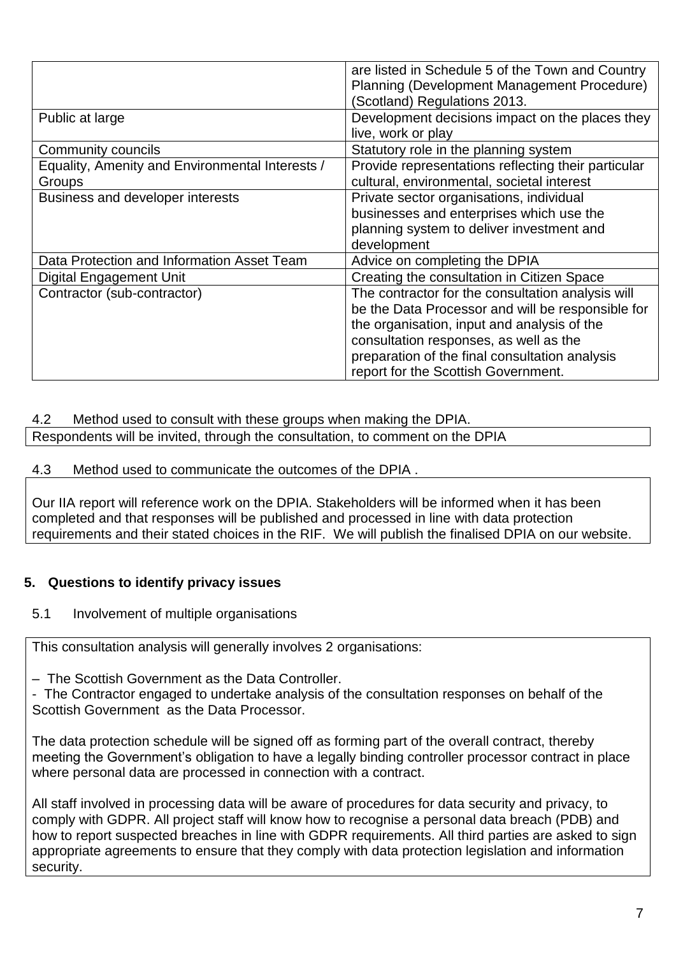|                                                           | are listed in Schedule 5 of the Town and Country<br>Planning (Development Management Procedure)<br>(Scotland) Regulations 2013.                                                                                                                                                          |
|-----------------------------------------------------------|------------------------------------------------------------------------------------------------------------------------------------------------------------------------------------------------------------------------------------------------------------------------------------------|
| Public at large                                           | Development decisions impact on the places they<br>live, work or play                                                                                                                                                                                                                    |
| Community councils                                        | Statutory role in the planning system                                                                                                                                                                                                                                                    |
| Equality, Amenity and Environmental Interests /<br>Groups | Provide representations reflecting their particular<br>cultural, environmental, societal interest                                                                                                                                                                                        |
| Business and developer interests                          | Private sector organisations, individual<br>businesses and enterprises which use the<br>planning system to deliver investment and<br>development                                                                                                                                         |
| Data Protection and Information Asset Team                | Advice on completing the DPIA                                                                                                                                                                                                                                                            |
| <b>Digital Engagement Unit</b>                            | Creating the consultation in Citizen Space                                                                                                                                                                                                                                               |
| Contractor (sub-contractor)                               | The contractor for the consultation analysis will<br>be the Data Processor and will be responsible for<br>the organisation, input and analysis of the<br>consultation responses, as well as the<br>preparation of the final consultation analysis<br>report for the Scottish Government. |

### 4.2 Method used to consult with these groups when making the DPIA.

Respondents will be invited, through the consultation, to comment on the DPIA

#### 4.3 Method used to communicate the outcomes of the DPIA .

Our IIA report will reference work on the DPIA. Stakeholders will be informed when it has been completed and that responses will be published and processed in line with data protection requirements and their stated choices in the RIF. We will publish the finalised DPIA on our website.

### **5. Questions to identify privacy issues**

### 5.1 Involvement of multiple organisations

This consultation analysis will generally involves 2 organisations:

– The Scottish Government as the Data Controller.

- The Contractor engaged to undertake analysis of the consultation responses on behalf of the Scottish Government as the Data Processor.

The data protection schedule will be signed off as forming part of the overall contract, thereby meeting the Government's obligation to have a legally binding controller processor contract in place where personal data are processed in connection with a contract.

All staff involved in processing data will be aware of procedures for data security and privacy, to comply with GDPR. All project staff will know how to recognise a personal data breach (PDB) and how to report suspected breaches in line with GDPR requirements. All third parties are asked to sign appropriate agreements to ensure that they comply with data protection legislation and information security.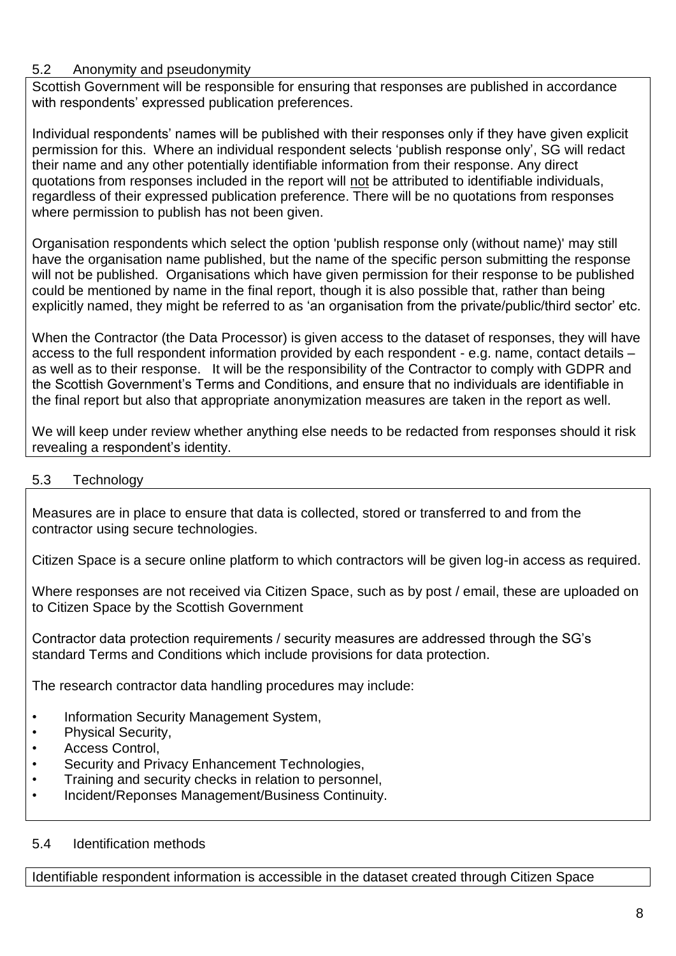### 5.2 Anonymity and pseudonymity

Scottish Government will be responsible for ensuring that responses are published in accordance with respondents' expressed publication preferences.

Individual respondents' names will be published with their responses only if they have given explicit permission for this. Where an individual respondent selects 'publish response only', SG will redact their name and any other potentially identifiable information from their response. Any direct quotations from responses included in the report will not be attributed to identifiable individuals, regardless of their expressed publication preference. There will be no quotations from responses where permission to publish has not been given.

Organisation respondents which select the option 'publish response only (without name)' may still have the organisation name published, but the name of the specific person submitting the response will not be published. Organisations which have given permission for their response to be published could be mentioned by name in the final report, though it is also possible that, rather than being explicitly named, they might be referred to as 'an organisation from the private/public/third sector' etc.

When the Contractor (the Data Processor) is given access to the dataset of responses, they will have access to the full respondent information provided by each respondent - e.g. name, contact details – as well as to their response. It will be the responsibility of the Contractor to comply with GDPR and the Scottish Government's Terms and Conditions, and ensure that no individuals are identifiable in the final report but also that appropriate anonymization measures are taken in the report as well.

We will keep under review whether anything else needs to be redacted from responses should it risk revealing a respondent's identity.

### 5.3 Technology

Measures are in place to ensure that data is collected, stored or transferred to and from the contractor using secure technologies.

Citizen Space is a secure online platform to which contractors will be given log-in access as required.

Where responses are not received via Citizen Space, such as by post / email, these are uploaded on to Citizen Space by the Scottish Government

Contractor data protection requirements / security measures are addressed through the SG's standard Terms and Conditions which include provisions for data protection.

The research contractor data handling procedures may include:

- Information Security Management System,
- Physical Security,
- Access Control,
- Security and Privacy Enhancement Technologies,
- Training and security checks in relation to personnel,
- Incident/Reponses Management/Business Continuity.

### 5.4 Identification methods

Identifiable respondent information is accessible in the dataset created through Citizen Space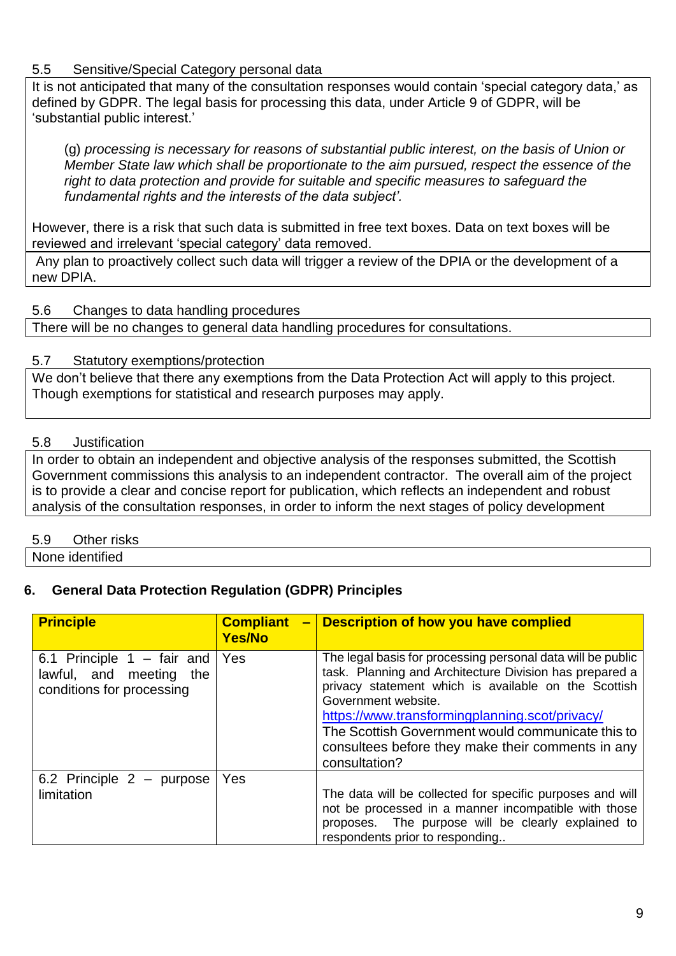### 5.5 Sensitive/Special Category personal data

It is not anticipated that many of the consultation responses would contain 'special category data,' as defined by GDPR. The legal basis for processing this data, under Article 9 of GDPR, will be 'substantial public interest.'

(g) *processing is necessary for reasons of substantial public interest, on the basis of Union or Member State law which shall be proportionate to the aim pursued, respect the essence of the right to data protection and provide for suitable and specific measures to safeguard the fundamental rights and the interests of the data subject'.* 

However, there is a risk that such data is submitted in free text boxes. Data on text boxes will be reviewed and irrelevant 'special category' data removed.

Any plan to proactively collect such data will trigger a review of the DPIA or the development of a new DPIA.

#### 5.6 Changes to data handling procedures

There will be no changes to general data handling procedures for consultations.

#### 5.7 Statutory exemptions/protection

We don't believe that there any exemptions from the Data Protection Act will apply to this project. Though exemptions for statistical and research purposes may apply.

### 5.8 Justification

In order to obtain an independent and objective analysis of the responses submitted, the Scottish Government commissions this analysis to an independent contractor. The overall aim of the project is to provide a clear and concise report for publication, which reflects an independent and robust analysis of the consultation responses, in order to inform the next stages of policy development

### 5.9 Other risks

None identified

### **6. General Data Protection Regulation (GDPR) Principles**

| <b>Principle</b>                                                                               | <b>Compliant</b><br><b>Yes/No</b> | - Description of how you have complied                                                                                                                                                                                                                                                                                                                                             |
|------------------------------------------------------------------------------------------------|-----------------------------------|------------------------------------------------------------------------------------------------------------------------------------------------------------------------------------------------------------------------------------------------------------------------------------------------------------------------------------------------------------------------------------|
| 6.1 Principle $1 - \text{fair}$ and<br>lawful, and meeting<br>the<br>conditions for processing | Yes                               | The legal basis for processing personal data will be public<br>task. Planning and Architecture Division has prepared a<br>privacy statement which is available on the Scottish<br>Government website.<br>https://www.transformingplanning.scot/privacy/<br>The Scottish Government would communicate this to<br>consultees before they make their comments in any<br>consultation? |
| 6.2 Principle $2$ – purpose<br>limitation                                                      | <b>Yes</b>                        | The data will be collected for specific purposes and will<br>not be processed in a manner incompatible with those<br>proposes. The purpose will be clearly explained to<br>respondents prior to responding                                                                                                                                                                         |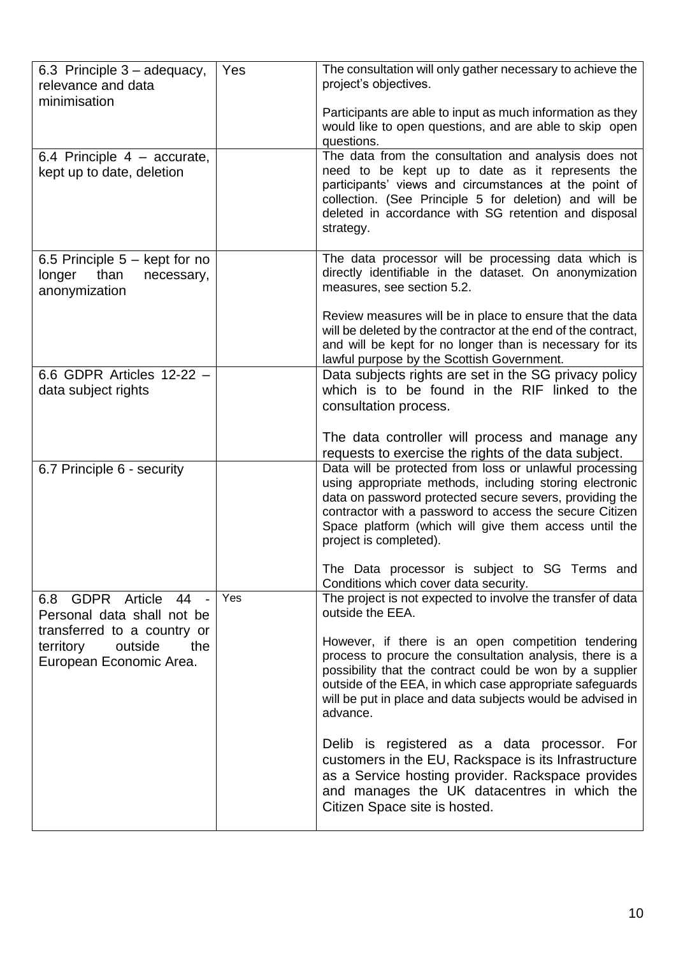| 6.3 Principle $3 -$ adequacy,<br>relevance and data<br>minimisation                                                 | Yes | The consultation will only gather necessary to achieve the<br>project's objectives.                                                                                                                                                                                                                                                                                                                                                    |
|---------------------------------------------------------------------------------------------------------------------|-----|----------------------------------------------------------------------------------------------------------------------------------------------------------------------------------------------------------------------------------------------------------------------------------------------------------------------------------------------------------------------------------------------------------------------------------------|
|                                                                                                                     |     | Participants are able to input as much information as they<br>would like to open questions, and are able to skip open<br>questions.                                                                                                                                                                                                                                                                                                    |
| 6.4 Principle $4 -$ accurate,<br>kept up to date, deletion                                                          |     | The data from the consultation and analysis does not<br>need to be kept up to date as it represents the<br>participants' views and circumstances at the point of<br>collection. (See Principle 5 for deletion) and will be<br>deleted in accordance with SG retention and disposal<br>strategy.                                                                                                                                        |
| 6.5 Principle 5 – kept for no<br>than<br>longer<br>necessary,<br>anonymization                                      |     | The data processor will be processing data which is<br>directly identifiable in the dataset. On anonymization<br>measures, see section 5.2.<br>Review measures will be in place to ensure that the data                                                                                                                                                                                                                                |
|                                                                                                                     |     | will be deleted by the contractor at the end of the contract,<br>and will be kept for no longer than is necessary for its<br>lawful purpose by the Scottish Government.                                                                                                                                                                                                                                                                |
| 6.6 GDPR Articles 12-22 -<br>data subject rights                                                                    |     | Data subjects rights are set in the SG privacy policy<br>which is to be found in the RIF linked to the<br>consultation process.                                                                                                                                                                                                                                                                                                        |
| 6.7 Principle 6 - security                                                                                          |     | The data controller will process and manage any<br>requests to exercise the rights of the data subject.<br>Data will be protected from loss or unlawful processing<br>using appropriate methods, including storing electronic<br>data on password protected secure severs, providing the<br>contractor with a password to access the secure Citizen<br>Space platform (which will give them access until the<br>project is completed). |
| GDPR Article 44 -<br>6.8                                                                                            | Yes | The Data processor is subject to SG Terms and<br>Conditions which cover data security.<br>The project is not expected to involve the transfer of data                                                                                                                                                                                                                                                                                  |
| Personal data shall not be<br>transferred to a country or<br>territory<br>outside<br>the<br>European Economic Area. |     | outside the EEA.<br>However, if there is an open competition tendering<br>process to procure the consultation analysis, there is a<br>possibility that the contract could be won by a supplier<br>outside of the EEA, in which case appropriate safeguards<br>will be put in place and data subjects would be advised in<br>advance.                                                                                                   |
|                                                                                                                     |     | Delib is registered as a data processor. For<br>customers in the EU, Rackspace is its Infrastructure<br>as a Service hosting provider. Rackspace provides<br>and manages the UK datacentres in which the<br>Citizen Space site is hosted.                                                                                                                                                                                              |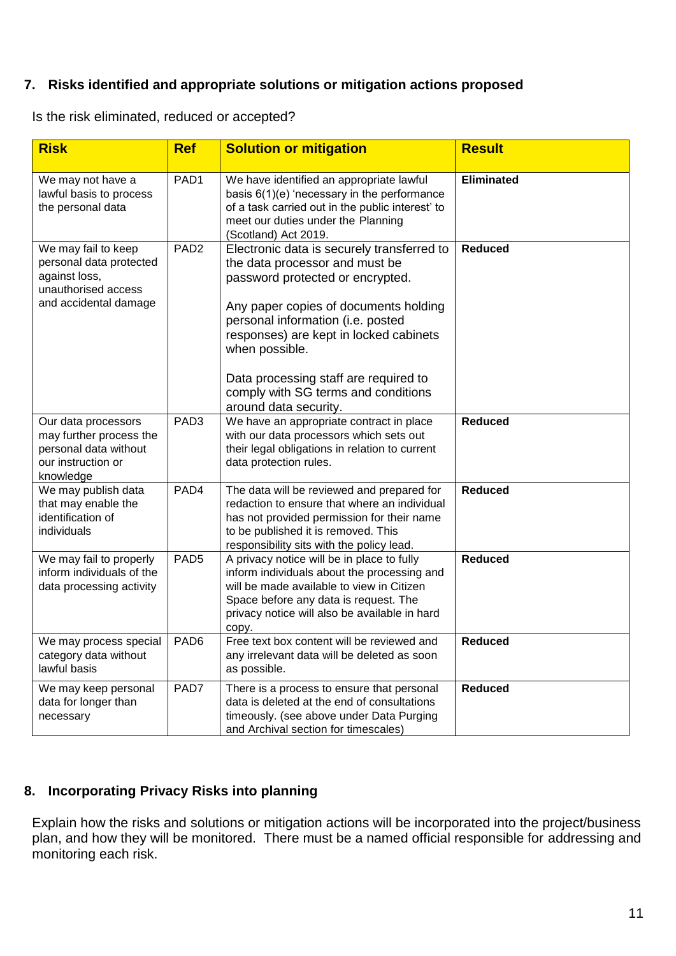### **7. Risks identified and appropriate solutions or mitigation actions proposed**

Is the risk eliminated, reduced or accepted?

| <b>Risk</b>                                                                                                     | <b>Ref</b>       | <b>Solution or mitigation</b>                                                                                                                                                                                                                                                                       | <b>Result</b>     |
|-----------------------------------------------------------------------------------------------------------------|------------------|-----------------------------------------------------------------------------------------------------------------------------------------------------------------------------------------------------------------------------------------------------------------------------------------------------|-------------------|
| We may not have a<br>lawful basis to process<br>the personal data                                               | PAD <sub>1</sub> | We have identified an appropriate lawful<br>basis $6(1)(e)$ 'necessary in the performance<br>of a task carried out in the public interest' to<br>meet our duties under the Planning<br>(Scotland) Act 2019.                                                                                         | <b>Eliminated</b> |
| We may fail to keep<br>personal data protected<br>against loss,<br>unauthorised access<br>and accidental damage | PAD <sub>2</sub> | Electronic data is securely transferred to<br>the data processor and must be<br>password protected or encrypted.<br>Any paper copies of documents holding<br>personal information (i.e. posted<br>responses) are kept in locked cabinets<br>when possible.<br>Data processing staff are required to | <b>Reduced</b>    |
|                                                                                                                 |                  | comply with SG terms and conditions<br>around data security.                                                                                                                                                                                                                                        |                   |
| Our data processors<br>may further process the<br>personal data without<br>our instruction or<br>knowledge      | PAD <sub>3</sub> | We have an appropriate contract in place<br>with our data processors which sets out<br>their legal obligations in relation to current<br>data protection rules.                                                                                                                                     | <b>Reduced</b>    |
| We may publish data<br>that may enable the<br>identification of<br>individuals                                  | PAD4             | The data will be reviewed and prepared for<br>redaction to ensure that where an individual<br>has not provided permission for their name<br>to be published it is removed. This<br>responsibility sits with the policy lead.                                                                        | <b>Reduced</b>    |
| We may fail to properly<br>inform individuals of the<br>data processing activity                                | PAD <sub>5</sub> | A privacy notice will be in place to fully<br>inform individuals about the processing and<br>will be made available to view in Citizen<br>Space before any data is request. The<br>privacy notice will also be available in hard<br>copy.                                                           | <b>Reduced</b>    |
| We may process special<br>category data without<br>lawful basis                                                 | PAD <sub>6</sub> | Free text box content will be reviewed and<br>any irrelevant data will be deleted as soon<br>as possible.                                                                                                                                                                                           | <b>Reduced</b>    |
| We may keep personal<br>data for longer than<br>necessary                                                       | PAD7             | There is a process to ensure that personal<br>data is deleted at the end of consultations<br>timeously. (see above under Data Purging<br>and Archival section for timescales)                                                                                                                       | <b>Reduced</b>    |

### **8. Incorporating Privacy Risks into planning**

Explain how the risks and solutions or mitigation actions will be incorporated into the project/business plan, and how they will be monitored. There must be a named official responsible for addressing and monitoring each risk.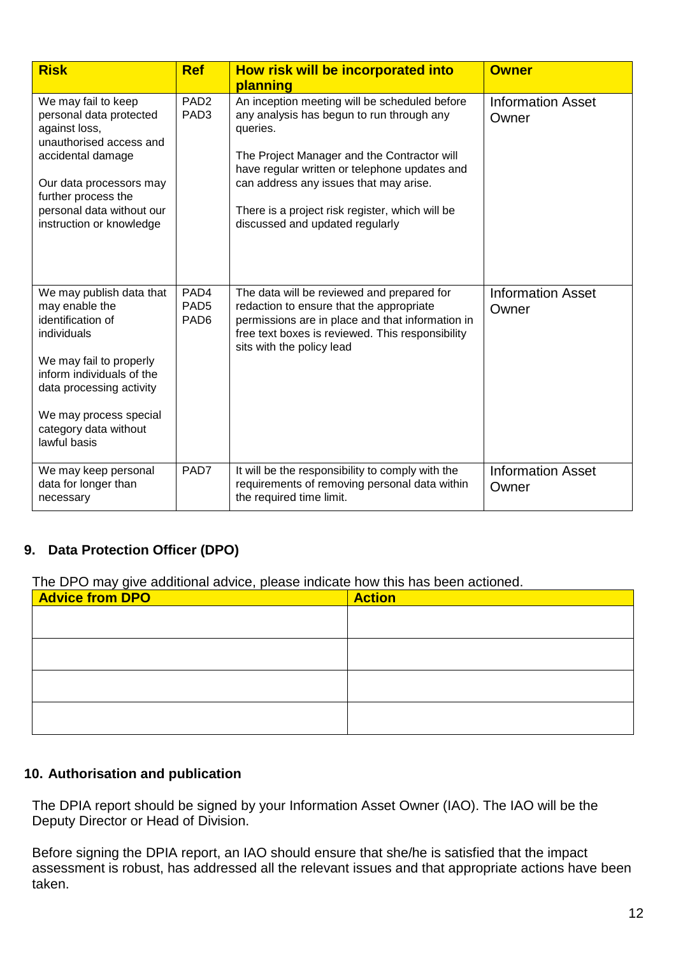| <b>Risk</b>                                                                                                                                                                                                                           | <b>Ref</b>                                   | How risk will be incorporated into<br>planning                                                                                                                                                                                                                                                                                         | <b>Owner</b>                      |
|---------------------------------------------------------------------------------------------------------------------------------------------------------------------------------------------------------------------------------------|----------------------------------------------|----------------------------------------------------------------------------------------------------------------------------------------------------------------------------------------------------------------------------------------------------------------------------------------------------------------------------------------|-----------------------------------|
| We may fail to keep<br>personal data protected<br>against loss,<br>unauthorised access and<br>accidental damage<br>Our data processors may<br>further process the<br>personal data without our<br>instruction or knowledge            | PAD <sub>2</sub><br>PAD <sub>3</sub>         | An inception meeting will be scheduled before<br>any analysis has begun to run through any<br>queries.<br>The Project Manager and the Contractor will<br>have regular written or telephone updates and<br>can address any issues that may arise.<br>There is a project risk register, which will be<br>discussed and updated regularly | <b>Information Asset</b><br>Owner |
| We may publish data that<br>may enable the<br>identification of<br>individuals<br>We may fail to properly<br>inform individuals of the<br>data processing activity<br>We may process special<br>category data without<br>lawful basis | PAD4<br>PAD <sub>5</sub><br>PAD <sub>6</sub> | The data will be reviewed and prepared for<br>redaction to ensure that the appropriate<br>permissions are in place and that information in<br>free text boxes is reviewed. This responsibility<br>sits with the policy lead                                                                                                            | <b>Information Asset</b><br>Owner |
| We may keep personal<br>data for longer than<br>necessary                                                                                                                                                                             | PAD7                                         | It will be the responsibility to comply with the<br>requirements of removing personal data within<br>the required time limit.                                                                                                                                                                                                          | <b>Information Asset</b><br>Owner |

### **9. Data Protection Officer (DPO)**

The DPO may give additional advice, please indicate how this has been actioned.

| <u>ັ</u><br>$\cdot$ .<br><b>Advice from DPO</b> | <b>Action</b> |
|-------------------------------------------------|---------------|
|                                                 |               |
|                                                 |               |
|                                                 |               |
|                                                 |               |
|                                                 |               |
|                                                 |               |
|                                                 |               |
|                                                 |               |

# **10. Authorisation and publication**

The DPIA report should be signed by your Information Asset Owner (IAO). The IAO will be the Deputy Director or Head of Division.

Before signing the DPIA report, an IAO should ensure that she/he is satisfied that the impact assessment is robust, has addressed all the relevant issues and that appropriate actions have been taken.